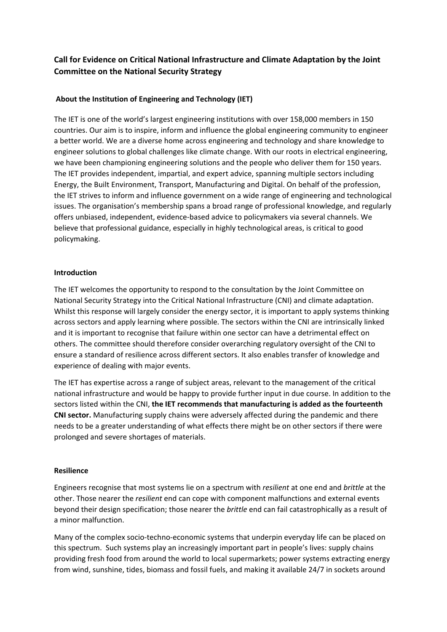# **Call for Evidence on Critical National Infrastructure and Climate Adaptation by the Joint Committee on the National Security Strategy**

## **About the Institution of Engineering and Technology (IET)**

The IET is one of the world's largest engineering institutions with over 158,000 members in 150 countries. Our aim is to inspire, inform and influence the global engineering community to engineer a better world. We are a diverse home across engineering and technology and share knowledge to engineer solutions to global challenges like climate change. With our roots in electrical engineering, we have been championing engineering solutions and the people who deliver them for 150 years. The IET provides independent, impartial, and expert advice, spanning multiple sectors including Energy, the Built Environment, Transport, Manufacturing and Digital. On behalf of the profession, the IET strives to inform and influence government on a wide range of engineering and technological issues. The organisation's membership spans a broad range of professional knowledge, and regularly offers unbiased, independent, evidence-based advice to policymakers via several channels. We believe that professional guidance, especially in highly technological areas, is critical to good policymaking.

#### **Introduction**

The IET welcomes the opportunity to respond to the consultation by the Joint Committee on National Security Strategy into the Critical National Infrastructure (CNI) and climate adaptation. Whilst this response will largely consider the energy sector, it is important to apply systems thinking across sectors and apply learning where possible. The sectors within the CNI are intrinsically linked and it is important to recognise that failure within one sector can have a detrimental effect on others. The committee should therefore consider overarching regulatory oversight of the CNI to ensure a standard of resilience across different sectors. It also enables transfer of knowledge and experience of dealing with major events.

The IET has expertise across a range of subject areas, relevant to the management of the critical national infrastructure and would be happy to provide further input in due course. In addition to the sectors listed within the CNI, **the IET recommends that manufacturing is added as the fourteenth CNI sector.** Manufacturing supply chains were adversely affected during the pandemic and there needs to be a greater understanding of what effects there might be on other sectors if there were prolonged and severe shortages of materials.

#### **Resilience**

Engineers recognise that most systems lie on a spectrum with *resilient* at one end and *brittle* at the other. Those nearer the *resilient* end can cope with component malfunctions and external events beyond their design specification; those nearer the *brittle* end can fail catastrophically as a result of a minor malfunction.

Many of the complex socio-techno-economic systems that underpin everyday life can be placed on this spectrum. Such systems play an increasingly important part in people's lives: supply chains providing fresh food from around the world to local supermarkets; power systems extracting energy from wind, sunshine, tides, biomass and fossil fuels, and making it available 24/7 in sockets around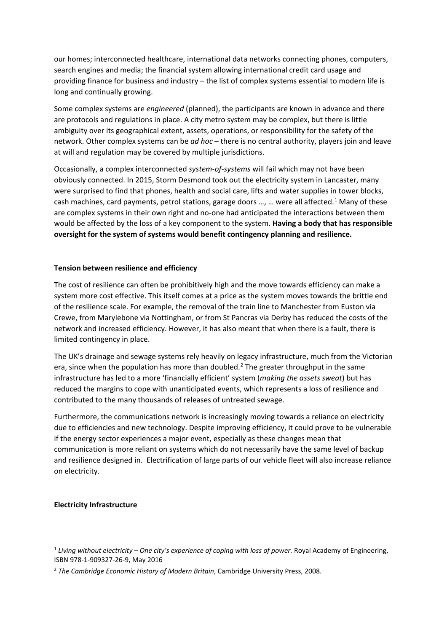our homes; interconnected healthcare, international data networks connecting phones, computers, search engines and media; the financial system allowing international credit card usage and providing finance for business and industry – the list of complex systems essential to modern life is long and continually growing.

Some complex systems are *engineered* (planned), the participants are known in advance and there are protocols and regulations in place. A city metro system may be complex, but there is little ambiguity over its geographical extent, assets, operations, or responsibility for the safety of the network. Other complex systems can be *ad hoc* – there is no central authority, players join and leave at will and regulation may be covered by multiple jurisdictions.

Occasionally, a complex interconnected *system-of-systems* will fail which may not have been obviously connected. In 2015, Storm Desmond took out the electricity system in Lancaster, many were surprised to find that phones, health and social care, lifts and water supplies in tower blocks, cash machines, card payments, petrol stations, garage doors  $...,$  were all affected.<sup>[1](#page-1-0)</sup> Many of these are complex systems in their own right and no-one had anticipated the interactions between them would be affected by the loss of a key component to the system. **Having a body that has responsible oversight for the system of systems would benefit contingency planning and resilience.**

#### **Tension between resilience and efficiency**

The cost of resilience can often be prohibitively high and the move towards efficiency can make a system more cost effective. This itself comes at a price as the system moves towards the brittle end of the resilience scale. For example, the removal of the train line to Manchester from Euston via Crewe, from Marylebone via Nottingham, or from St Pancras via Derby has reduced the costs of the network and increased efficiency. However, it has also meant that when there is a fault, there is limited contingency in place.

The UK's drainage and sewage systems rely heavily on legacy infrastructure, much from the Victorian era, since when the population has more than doubled.<sup>[2](#page-1-1)</sup> The greater throughput in the same infrastructure has led to a more 'financially efficient' system (*making the assets sweat*) but has reduced the margins to cope with unanticipated events, which represents a loss of resilience and contributed to the many thousands of releases of untreated sewage.

Furthermore, the communications network is increasingly moving towards a reliance on electricity due to efficiencies and new technology. Despite improving efficiency, it could prove to be vulnerable if the energy sector experiences a major event, especially as these changes mean that communication is more reliant on systems which do not necessarily have the same level of backup and resilience designed in. Electrification of large parts of our vehicle fleet will also increase reliance on electricity.

#### **Electricity Infrastructure**

<span id="page-1-0"></span><sup>1</sup> *Living without electricity – One city's experience of coping with loss of power.* Royal Academy of Engineering, ISBN 978-1-909327-26-9, May 2016

<span id="page-1-1"></span><sup>2</sup> *The Cambridge Economic History of Modern Britain*, Cambridge University Press, 2008.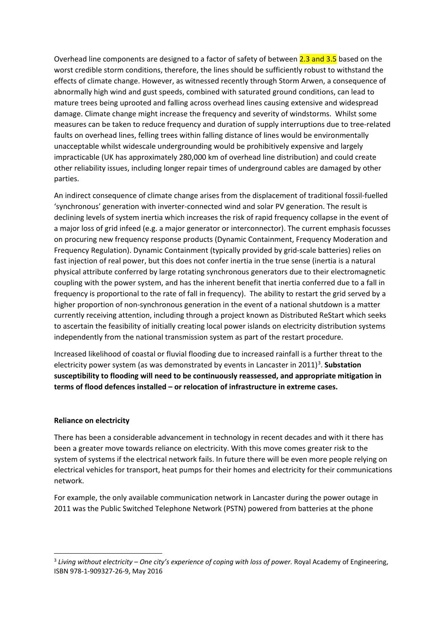Overhead line components are designed to a factor of safety of between 2.3 and 3.5 based on the worst credible storm conditions, therefore, the lines should be sufficiently robust to withstand the effects of climate change. However, as witnessed recently through Storm Arwen, a consequence of abnormally high wind and gust speeds, combined with saturated ground conditions, can lead to mature trees being uprooted and falling across overhead lines causing extensive and widespread damage. Climate change might increase the frequency and severity of windstorms. Whilst some measures can be taken to reduce frequency and duration of supply interruptions due to tree-related faults on overhead lines, felling trees within falling distance of lines would be environmentally unacceptable whilst widescale undergrounding would be prohibitively expensive and largely impracticable (UK has approximately 280,000 km of overhead line distribution) and could create other reliability issues, including longer repair times of underground cables are damaged by other parties.

An indirect consequence of climate change arises from the displacement of traditional fossil-fuelled 'synchronous' generation with inverter-connected wind and solar PV generation. The result is declining levels of system inertia which increases the risk of rapid frequency collapse in the event of a major loss of grid infeed (e.g. a major generator or interconnector). The current emphasis focusses on procuring new frequency response products (Dynamic Containment, Frequency Moderation and Frequency Regulation). Dynamic Containment (typically provided by grid-scale batteries) relies on fast injection of real power, but this does not confer inertia in the true sense (inertia is a natural physical attribute conferred by large rotating synchronous generators due to their electromagnetic coupling with the power system, and has the inherent benefit that inertia conferred due to a fall in frequency is proportional to the rate of fall in frequency). The ability to restart the grid served by a higher proportion of non-synchronous generation in the event of a national shutdown is a matter currently receiving attention, including through a project known as Distributed ReStart which seeks to ascertain the feasibility of initially creating local power islands on electricity distribution systems independently from the national transmission system as part of the restart procedure.

Increased likelihood of coastal or fluvial flooding due to increased rainfall is a further threat to the electricity power system (as was demonstrated by events in Lancaster in 2011) [3](#page-2-0) . **Substation susceptibility to flooding will need to be continuously reassessed, and appropriate mitigation in terms of flood defences installed – or relocation of infrastructure in extreme cases.**

#### **Reliance on electricity**

There has been a considerable advancement in technology in recent decades and with it there has been a greater move towards reliance on electricity. With this move comes greater risk to the system of systems if the electrical network fails. In future there will be even more people relying on electrical vehicles for transport, heat pumps for their homes and electricity for their communications network.

For example, the only available communication network in Lancaster during the power outage in 2011 was the Public Switched Telephone Network (PSTN) powered from batteries at the phone

<span id="page-2-0"></span><sup>3</sup> *Living without electricity – One city's experience of coping with loss of power.* Royal Academy of Engineering, ISBN 978-1-909327-26-9, May 2016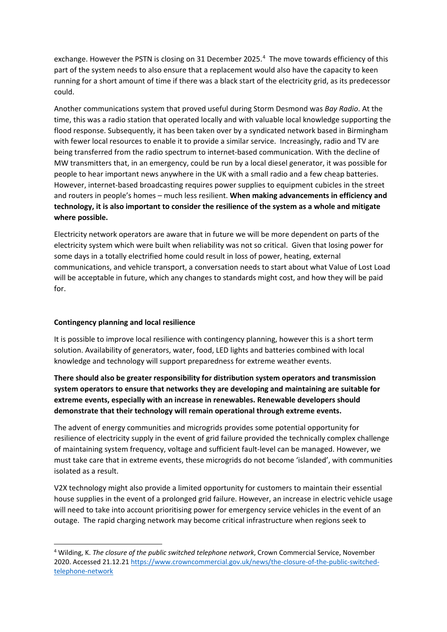exchange. However the PSTN is closing on 31 December 2025.<sup>[4](#page-3-0)</sup> The move towards efficiency of this part of the system needs to also ensure that a replacement would also have the capacity to keen running for a short amount of time if there was a black start of the electricity grid, as its predecessor could.

Another communications system that proved useful during Storm Desmond was *Bay Radio*. At the time, this was a radio station that operated locally and with valuable local knowledge supporting the flood response. Subsequently, it has been taken over by a syndicated network based in Birmingham with fewer local resources to enable it to provide a similar service. Increasingly, radio and TV are being transferred from the radio spectrum to internet-based communication. With the decline of MW transmitters that, in an emergency, could be run by a local diesel generator, it was possible for people to hear important news anywhere in the UK with a small radio and a few cheap batteries. However, internet-based broadcasting requires power supplies to equipment cubicles in the street and routers in people's homes – much less resilient. **When making advancements in efficiency and technology, it is also important to consider the resilience of the system as a whole and mitigate where possible.**

Electricity network operators are aware that in future we will be more dependent on parts of the electricity system which were built when reliability was not so critical. Given that losing power for some days in a totally electrified home could result in loss of power, heating, external communications, and vehicle transport, a conversation needs to start about what Value of Lost Load will be acceptable in future, which any changes to standards might cost, and how they will be paid for.

## **Contingency planning and local resilience**

It is possible to improve local resilience with contingency planning, however this is a short term solution. Availability of generators, water, food, LED lights and batteries combined with local knowledge and technology will support preparedness for extreme weather events.

**There should also be greater responsibility for distribution system operators and transmission system operators to ensure that networks they are developing and maintaining are suitable for extreme events, especially with an increase in renewables. Renewable developers should demonstrate that their technology will remain operational through extreme events.**

The advent of energy communities and microgrids provides some potential opportunity for resilience of electricity supply in the event of grid failure provided the technically complex challenge of maintaining system frequency, voltage and sufficient fault-level can be managed. However, we must take care that in extreme events, these microgrids do not become 'islanded', with communities isolated as a result.

V2X technology might also provide a limited opportunity for customers to maintain their essential house supplies in the event of a prolonged grid failure. However, an increase in electric vehicle usage will need to take into account prioritising power for emergency service vehicles in the event of an outage. The rapid charging network may become critical infrastructure when regions seek to

<span id="page-3-0"></span><sup>4</sup> Wilding, K. *The closure of the public switched telephone network*, Crown Commercial Service, November 2020. Accessed 21.12.2[1 https://www.crowncommercial.gov.uk/news/the-closure-of-the-public-switched](https://www.crowncommercial.gov.uk/news/the-closure-of-the-public-switched-telephone-network)[telephone-network](https://www.crowncommercial.gov.uk/news/the-closure-of-the-public-switched-telephone-network)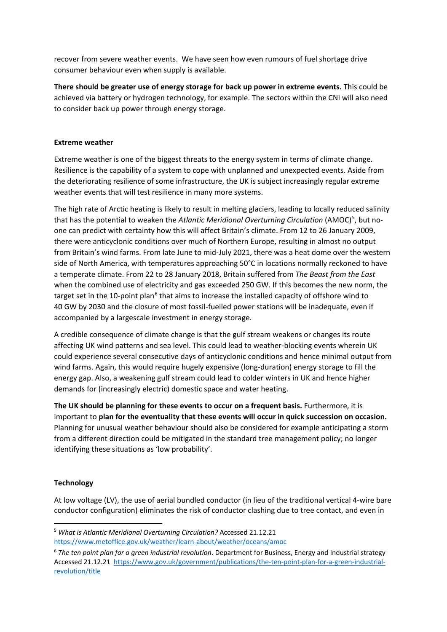recover from severe weather events. We have seen how even rumours of fuel shortage drive consumer behaviour even when supply is available.

**There should be greater use of energy storage for back up power in extreme events.** This could be achieved via battery or hydrogen technology, for example. The sectors within the CNI will also need to consider back up power through energy storage.

### **Extreme weather**

Extreme weather is one of the biggest threats to the energy system in terms of climate change. Resilience is the capability of a system to cope with unplanned and unexpected events. Aside from the deteriorating resilience of some infrastructure, the UK is subject increasingly regular extreme weather events that will test resilience in many more systems.

The high rate of Arctic heating is likely to result in melting glaciers, leading to locally reduced salinity that has the potential to weaken the Atlantic Meridional Overturning Circulation (AMOC)<sup>[5](#page-4-0)</sup>, but noone can predict with certainty how this will affect Britain's climate. From 12 to 26 January 2009, there were anticyclonic conditions over much of Northern Europe, resulting in almost no output from Britain's wind farms. From late June to mid-July 2021, there was a heat dome over the western side of North America, with temperatures approaching 50°C in locations normally reckoned to have a temperate climate. From 22 to 28 January 2018, Britain suffered from *The Beast from the East* when the combined use of electricity and gas exceeded 250 GW. If this becomes the new norm, the target set in the 10-point plan<sup>[6](#page-4-1)</sup> that aims to increase the installed capacity of offshore wind to 40 GW by 2030 and the closure of most fossil-fuelled power stations will be inadequate, even if accompanied by a largescale investment in energy storage.

A credible consequence of climate change is that the gulf stream weakens or changes its route affecting UK wind patterns and sea level. This could lead to weather-blocking events wherein UK could experience several consecutive days of anticyclonic conditions and hence minimal output from wind farms. Again, this would require hugely expensive (long-duration) energy storage to fill the energy gap. Also, a weakening gulf stream could lead to colder winters in UK and hence higher demands for (increasingly electric) domestic space and water heating.

**The UK should be planning for these events to occur on a frequent basis.** Furthermore, it is important to **plan for the eventuality that these events will occur in quick succession on occasion.** Planning for unusual weather behaviour should also be considered for example anticipating a storm from a different direction could be mitigated in the standard tree management policy; no longer identifying these situations as 'low probability'.

## **Technology**

At low voltage (LV), the use of aerial bundled conductor (in lieu of the traditional vertical 4-wire bare conductor configuration) eliminates the risk of conductor clashing due to tree contact, and even in

<span id="page-4-0"></span><sup>5</sup> *What is Atlantic Meridional Overturning Circulation?* Accessed 21.12.21 <https://www.metoffice.gov.uk/weather/learn-about/weather/oceans/amoc>

<span id="page-4-1"></span><sup>6</sup> *The ten point plan for a green industrial revolution*. Department for Business, Energy and Industrial strategy Accessed 21.12.21 [https://www.gov.uk/government/publications/the-ten-point-plan-for-a-green-industrial](https://www.gov.uk/government/publications/the-ten-point-plan-for-a-green-industrial-revolution/title)[revolution/title](https://www.gov.uk/government/publications/the-ten-point-plan-for-a-green-industrial-revolution/title)